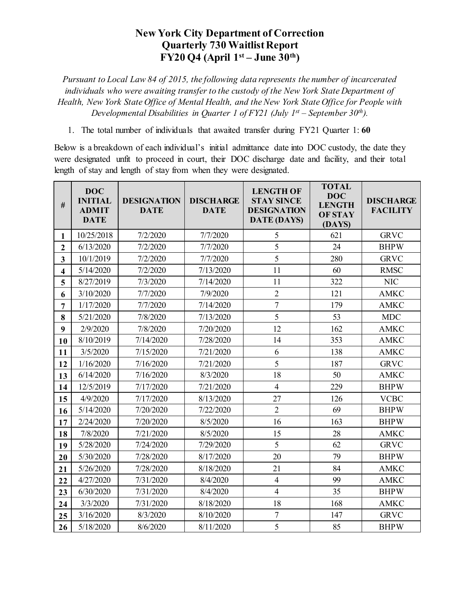## **New York City Department of Correction Quarterly 730 Waitlist Report FY20 Q4 (April 1st – June 30th)**

*Pursuant to Local Law 84 of 2015, the following data represents the number of incarcerated individuals who were awaiting transfer to the custody of the New York State Department of Health, New York State Office of Mental Health, and the New York State Office for People with Developmental Disabilities in Quarter 1 of FY21 (July 1st – September 30th).*

1. The total number of individuals that awaited transfer during FY21 Quarter 1: **60**

Below is a breakdown of each individual's initial admittance date into DOC custody, the date they were designated unfit to proceed in court, their DOC discharge date and facility, and their total length of stay and length of stay from when they were designated.

| $\#$                    | <b>DOC</b><br><b>INITIAL</b><br><b>ADMIT</b><br><b>DATE</b> | <b>DESIGNATION</b><br><b>DATE</b> | <b>DISCHARGE</b><br><b>DATE</b> | <b>LENGTH OF</b><br><b>STAY SINCE</b><br><b>DESIGNATION</b><br><b>DATE (DAYS)</b> | <b>TOTAL</b><br><b>DOC</b><br><b>LENGTH</b><br><b>OF STAY</b><br>(DAYS) | <b>DISCHARGE</b><br><b>FACILITY</b> |
|-------------------------|-------------------------------------------------------------|-----------------------------------|---------------------------------|-----------------------------------------------------------------------------------|-------------------------------------------------------------------------|-------------------------------------|
| $\mathbf{1}$            | 10/25/2018                                                  | 7/2/2020                          | 7/7/2020                        | 5                                                                                 | 621                                                                     | <b>GRVC</b>                         |
| $\mathbf{2}$            | 6/13/2020                                                   | 7/2/2020                          | 7/7/2020                        | 5                                                                                 | 24                                                                      | <b>BHPW</b>                         |
| $\overline{\mathbf{3}}$ | 10/1/2019                                                   | 7/2/2020                          | 7/7/2020                        | 5                                                                                 | 280                                                                     | <b>GRVC</b>                         |
| $\overline{\mathbf{4}}$ | 5/14/2020                                                   | 7/2/2020                          | 7/13/2020                       | 11                                                                                | 60                                                                      | <b>RMSC</b>                         |
| 5                       | 8/27/2019                                                   | 7/3/2020                          | 7/14/2020                       | 11                                                                                | 322                                                                     | <b>NIC</b>                          |
| 6                       | 3/10/2020                                                   | 7/7/2020                          | 7/9/2020                        | $\overline{2}$                                                                    | 121                                                                     | <b>AMKC</b>                         |
| 7                       | 1/17/2020                                                   | 7/7/2020                          | 7/14/2020                       | $\overline{7}$                                                                    | 179                                                                     | <b>AMKC</b>                         |
| 8                       | 5/21/2020                                                   | 7/8/2020                          | 7/13/2020                       | 5                                                                                 | 53                                                                      | <b>MDC</b>                          |
| 9                       | 2/9/2020                                                    | 7/8/2020                          | 7/20/2020                       | 12                                                                                | 162                                                                     | <b>AMKC</b>                         |
| 10                      | 8/10/2019                                                   | 7/14/2020                         | 7/28/2020                       | 14                                                                                | 353                                                                     | <b>AMKC</b>                         |
| 11                      | 3/5/2020                                                    | 7/15/2020                         | 7/21/2020                       | 6                                                                                 | 138                                                                     | <b>AMKC</b>                         |
| 12                      | 1/16/2020                                                   | 7/16/2020                         | 7/21/2020                       | 5                                                                                 | 187                                                                     | <b>GRVC</b>                         |
| 13                      | 6/14/2020                                                   | 7/16/2020                         | 8/3/2020                        | 18                                                                                | 50                                                                      | <b>AMKC</b>                         |
| 14                      | 12/5/2019                                                   | 7/17/2020                         | 7/21/2020                       | $\overline{4}$                                                                    | 229                                                                     | <b>BHPW</b>                         |
| 15                      | 4/9/2020                                                    | 7/17/2020                         | 8/13/2020                       | 27                                                                                | 126                                                                     | <b>VCBC</b>                         |
| 16                      | 5/14/2020                                                   | 7/20/2020                         | 7/22/2020                       | $\overline{2}$                                                                    | 69                                                                      | <b>BHPW</b>                         |
| 17                      | 2/24/2020                                                   | 7/20/2020                         | 8/5/2020                        | 16                                                                                | 163                                                                     | <b>BHPW</b>                         |
| 18                      | 7/8/2020                                                    | 7/21/2020                         | 8/5/2020                        | 15                                                                                | 28                                                                      | <b>AMKC</b>                         |
| 19                      | 5/28/2020                                                   | 7/24/2020                         | 7/29/2020                       | 5                                                                                 | 62                                                                      | <b>GRVC</b>                         |
| 20                      | 5/30/2020                                                   | 7/28/2020                         | 8/17/2020                       | 20                                                                                | 79                                                                      | <b>BHPW</b>                         |
| 21                      | 5/26/2020                                                   | 7/28/2020                         | 8/18/2020                       | 21                                                                                | 84                                                                      | <b>AMKC</b>                         |
| 22                      | 4/27/2020                                                   | 7/31/2020                         | 8/4/2020                        | $\overline{4}$                                                                    | 99                                                                      | <b>AMKC</b>                         |
| 23                      | 6/30/2020                                                   | 7/31/2020                         | 8/4/2020                        | $\overline{4}$                                                                    | 35                                                                      | <b>BHPW</b>                         |
| 24                      | 3/3/2020                                                    | 7/31/2020                         | 8/18/2020                       | 18                                                                                | 168                                                                     | <b>AMKC</b>                         |
| 25                      | 3/16/2020                                                   | 8/3/2020                          | 8/10/2020                       | $\overline{7}$                                                                    | 147                                                                     | <b>GRVC</b>                         |
| 26                      | 5/18/2020                                                   | 8/6/2020                          | 8/11/2020                       | 5                                                                                 | 85                                                                      | <b>BHPW</b>                         |